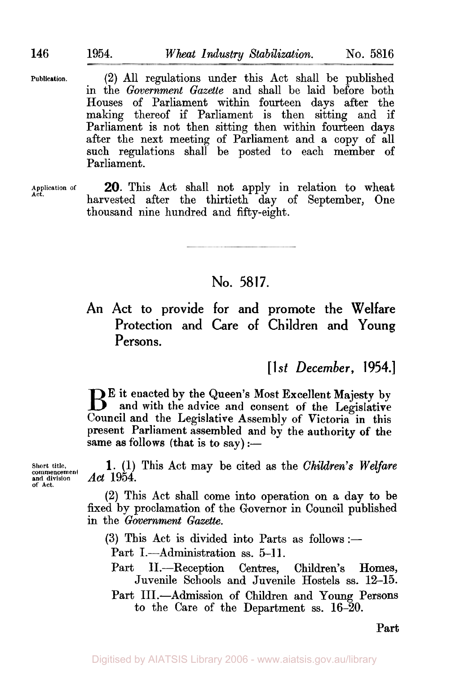**Publication.** 

**(2)** All regulations under this Act shall be published in the *Government Gazette* and shall be laid before both Houses of Parliament within fourteen days after the making thereof if Parliament is then sitting and if Parliament is not then sitting then within fourteen days after the next meeting of Parliament and a copy of all such regulations shall be posted to each member of Parliament.

**Application of Act.** 

**20.** This Act shall not apply in relation to wheat harvested after the thirtieth day of September, One thousand nine hundred and fifty-eight.

## No. **5817.**

**An Act to provide for and promote the Welfare Protection and Care of Children and Young Persons.** 

[ 1 *st December,* **1954.1** 

**E** it enacted by the Queen's Most Excellent Majesty by and with the advice and consent of the Legislative Council and the Legislative Assembly **of** Victoria in this present Parliament assembled and **by** the authority **of** the same as follows (that is to say) :—

**Short title, commencement and division of** *Act.* 

**1. (1)** This Act may be cited as the *Children's Welfare Act* **1954.** 

**(2)** This Act shall come into operation on a day to be fixed by proclamation **of** the Governor in Council published in the *Government Gazette.* 

 $(3)$  This Act is divided into Parts as follows :—

Part I.—Administration ss. 5–11.

Part II.—Reception Centres, Children's Homes, Juvenile Schools and Juvenile Hostels ss. **12-15.**  Part III.—Admission of Children and Young Persons to the Care of the Department ss. **16-20.** 

Part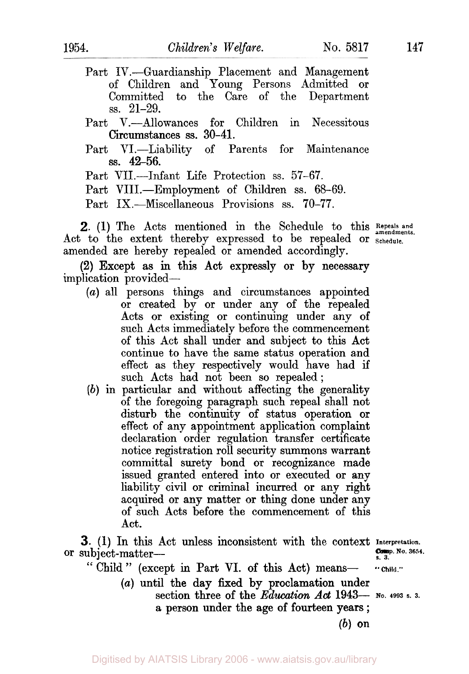- Part IV.-Guardianship Placement and Management of Children and Young Persons Admitted or Committed to the Care of the Department SS. 21-29.
- Part V.-Allowances for Children in Necessitous Circumstances ss. 30-41.
- Part VI.-Liability of Parents for Maintenance SS. 42-56.
- Part VII.---Infant Life Protection ss. 57-67.

Part VIII.-Employment of Children ss. 68-69.

Part IX.—Miscellaneous Provisions ss. 70-77.

2. (1) The Acts mentioned in the Schedule to this **Repeals and amendments.**  Act to the extent thereby expressed to be repealed or schedule. amended are hereby repealed or amended accordingly.

implication provided- (2) Except as in this Act expressly or by necessary

- *(a)* all persons things and circumstances appointed or created by or under any of the repealed Acts or existing or continuing under any **of**  such Acts immediately before the commencement of this Act shall under and subject to this Act continue to have the same status operation and effect as they respectively would have had if such Acts had not been so repealed;
- *(b)* in particular and without affecting the generality of the foregoing paragraph such repeal shall not disturb the continuity of status operation or effect of any appointment application complaint declaration order regulation transfer certificate notice registration roll security summons warrant committal surety bond **or** recognizance made issued granted entered into or executed or any liability civil **or** criminal incurred or any right acquired or any matter **or** thing done under any of such Acts before the commencement of this Act.

**3.** (1) In this Act unless inconsistent with the context **Interpretation.**  or subject-matter-

**Comp. No. 3654.** 

" Child " (except in Part VI. of this Act) means- "Child."

*(a)* until the day fixed by proclamation under section three of the *Education Act* 1943- **No. 4993 s. 3.** a person under the age of fourteen years ;

*(b)* **on**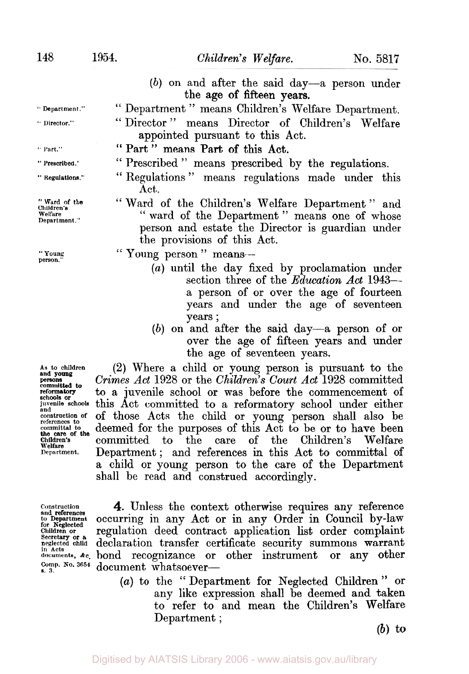- 
- " **Part."**
- '' **Prescribed.'**
- " **Regulatlons."**

" **Ward of the Children's Welfare Department."** 

**\*\*Young**  person.

**and young committed to schools or**  references to<br>references to<br>committal to<br>the care of the<br>Children's **Welfare** 

**and references for Neglected Secretary or a**  (b) on and after the said day-a person under the age of fifteen years.

" **Department."** " Department " means Children's Welfare Department.

'' **Director.''** " Director " means Director of Children's Welfare appointed pursuant to this Act.

" Part " means Part of this Act.

- " Prescribed " means prescribed by the regulations.
- " Regulations " means regulations made under this Act.
- " Ward of the Children's Welfare Department " and " ward of the Department" means one of whose person and estate the Director is guardian under the provisions of this Act.
- " Young person " means--
	- *(a)* until the day fixed by proclamation under section three of the *Education Act* **1943**  a person of or over the age of fourteen years and under the age **of** seventeen years ;
	- *(b)* on and after the said day-a person of or over the age of fifteen years and under the age of seventeen years.

**As to children (2)** Where a child or young person is pursuant to the **persons** *Crimes Act* **1928** or the *Children's Court Act* **1928** committed **reformatory** to a juvenile school or was before the commencement of **givenile schools** this Act committed to a reformatory school under either **construction of references to of** those Acts the child or young person shall also be deemed for the purposes of this Act to be or to have been committed to the care of the Children's Welfare **Department.** Department ; and references in this Act to committal of a child or young person to the care of the Department shall be read and construed accordingly.

**Construction 4.** Unless the context otherwise requires any reference occurring in any Act or in any Order in Council by-law regulation deed contract application list order complaint exected child declaration transfer certificate security summons warrant in Acts<br>
documents,  $\alpha_c$  bond recognizance or other instrument or any other documents,  $\&c$ . bond recognizance or other instrument comp. No. 3654 document whatsoever document whatsoever- **Comp. No. 3654 s. 3.** 

> *(a)* to the " Department for Neglected Children " or any like expression shall be deemed and taken to refer to and mean the Children's Welfare Department ;

(b) **to**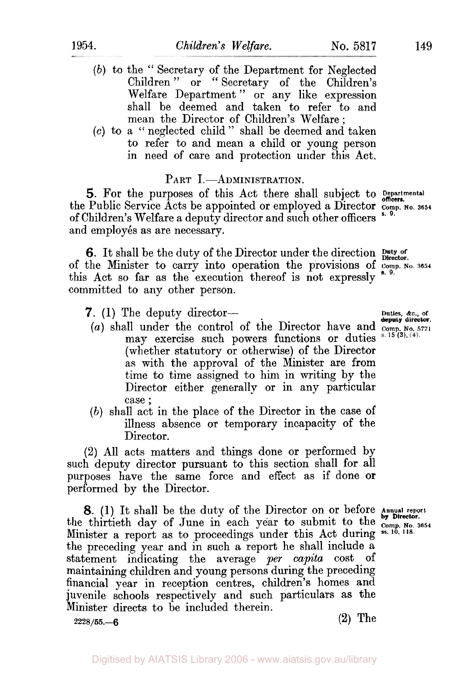mean the Director of Children's Welfare; **(c)** to a " neglected child " shall be deemed and taken to refer to and mean a child or young person in need of care and protection under this Act.

## PART I.-ADMINISTRATION.

5. For the purposes of this Act there shall subject to **Departmental officers.** the Public Service Acts be appointed or employed a Director **Comp. No. <sup>3654</sup>** of Children's Welfare a deputy director and such other officers s. 9. and employés as are necessary.

**6.** It shall be the duty of the Director under the direction puty of of the Minister to carry into operation the provisions of **Comp. No. 3654 R.** *9.*  this Act so far as the execution thereof is not expressly committed to any other person.

- 7. (1) The deputy director-
	- (a) shall under the control of the Director have and  $\frac{c_{\text{bmp, No. 5771}}}{c_{\text{bmp, No. 5771}}}$ may exercise such powers functions or duties (whether statutory or otherwise) of the Director as with the approval of the Minister are from time to time assigned to him in writing by the Director either generally or in any particular case ;
- *(b)* shall act in the place of the Director in the case of illness absence or temporary incapacity of the Director.

(2) All acts matters and things done or performed by such deputy director pursuant to this section shall for all purposes have the same force and effect as if done **or**  performed by the Director.

the thirtieth day of June in each year to submit to the **Comp. No. 3654** Minister a report as to proceedings under this Act during **ss. 10, 118.**  the preceding year and in such a report he shall include a statement indicating the average *per capita* cost of maintaining children and young persons during the preceding financial year in reception centres, children's homes and juvenile schools respectively and such particulars as the Minister directs to be included therein. *2228/55.-6* **(2)** The **8. (1)** It shall be the duty of the Director on **or** before **Annual report by Director.** 

**Duties, &c., of deputy director.**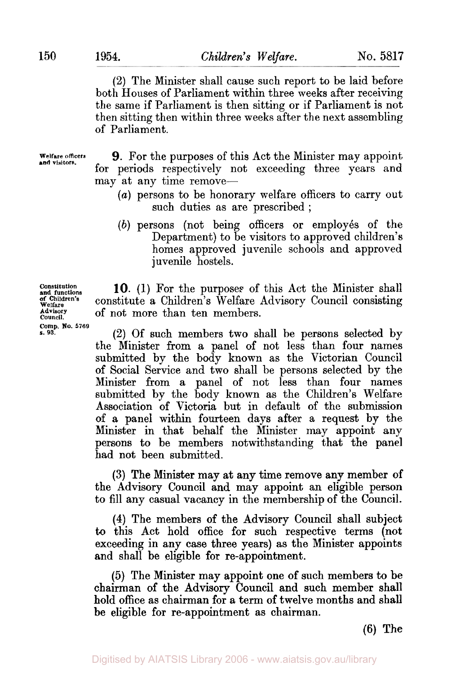**(2)** The Minister shall cause such report to be laid before both Houses of Parliament within three weeks after receiving the same if Parliament is then sitting or if Parliament is not then sitting then within three weeks after the next assembling of Parliament.

**Welfare officers and visitors.** 

**9.** For the purposes of this Act the Minister may appoint **for** periods respectively not exceeding three years and may at any time remove-

- *(a)* persons to be honorary welfare officers to carry out such duties as are prescribed ;
- *(b)* persons (not being officers or employés of the Department) to be visitors to approved children's homes approved juvenile schools and approved juvenile hostels.

**10. (1)** For the purposes of this Act the Minister shall constitute a Children's Welfare Advisory Council consisting of not more than ten members.

**(2)** Of such members two shall be persons selected by the Minister from a panel of not less than four names submitted by the body known as the Victorian Council of Social Service and two shall be persons selected by the Minister from a panel of not less than four names submitted by the body known as the Children's Welfare Association of Victoria but in default of the submission of a panel within fourteen days after a request by the Minister in that behalf the Minister may appoint any persons to be members notwithstanding that the panel had not been submitted.

**(3)** The Minister may at any time remove any member of the Advisory Council and may appoint an eligible person to fill any casual vacancy in the membership of the Council.

**(4)** The members of the Advisory Council shall subject to this Act hold office for such respective terms (not exceeding in any case three years) as the Minister appoints and shall be eligible for re-appointment.

(5) The Minister may appoint one of such members to be chairman of the Advisory Council and such member shall hold office as chairman for a term of twelve months and shall **be** eligible for re-appointment as chairman.

**(6) The** 

**Constitution and functions of Children's Welfare Advisory Council. comp. No. 5769 s. 93.**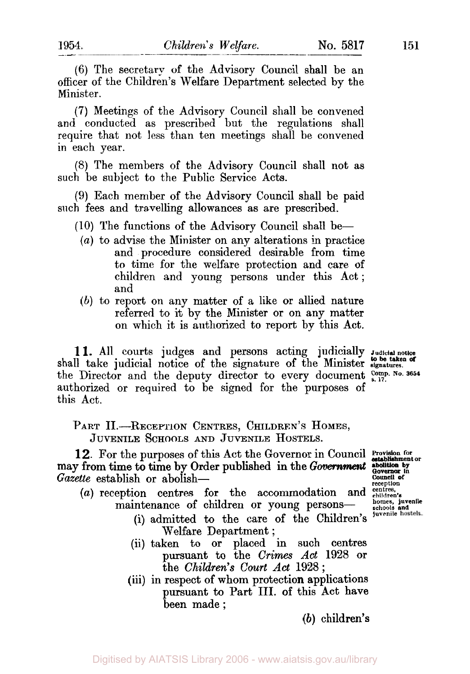(6) The secretary of the Advisory Council shall be an officer of the Children's Welfare Department selected by the Minister.

**(7)** Meetings of the Advisory Council shall be convened and conducted as prescribed but the regulations shall require that not less than ten meetings shall be convened in each year.

(8) The members of the Advisory Council shall not as such be subject to the Public Service Acts.

**(9)** Each member of the Advisory Council shall be paid such fees and travelling allowances as are prescribed.

- $(10)$  The functions of the Advisory Council shall be-
	- *(a)* to advise the Minister on any alterations **in** practice and procedure considered desirable from time to time for the welfare protection and care **of**  children and young persons under this Act; and
	- *(b)* to report on any matter of a like **or** allied nature referred to it by the Minister or on any matter on which it is authorized to report by this Act.

11. All courts judges and persons acting judicially Judicial notice shall take judicial notice of the signature of the Minister *signatures*. the Director and the deputy director to every document  $S_{s, 17}^{Comp. No. 3654}$ authorized or required to be signed for the purposes of this Act.

**Council of** 

PART II.-RECEPTION CENTRES, CHILDREN'S HOMES, JUVENILE SCHOOLS AND JUVENILE HOSTELS.

12. For the purposes of this Act the Governor in Council **Provision for** *Gazette* establish or abolish—<br>(a) reception centres for the accommodation and entires,<br>entres, may from time to time by Order published in the *Government* 

- (a) reception centres for the accommodation and **children's**<br>maintenance of children or young persons—<br>(i) a lumitted to the care of the Children's <sup>buyenile</sup> hostels. maintenance of children or young persons-
	- (i) admitted to the care of the Children's Welfare Department ;
	- (ii) taken to or placed in such centres pursuant to the *Crimes* Act 1928 or the *Children's Court Act* 1928;
	- (iii) in respect of whom protection applications pursuant to Part III. **of** this Act have been made ;

*(b)* children's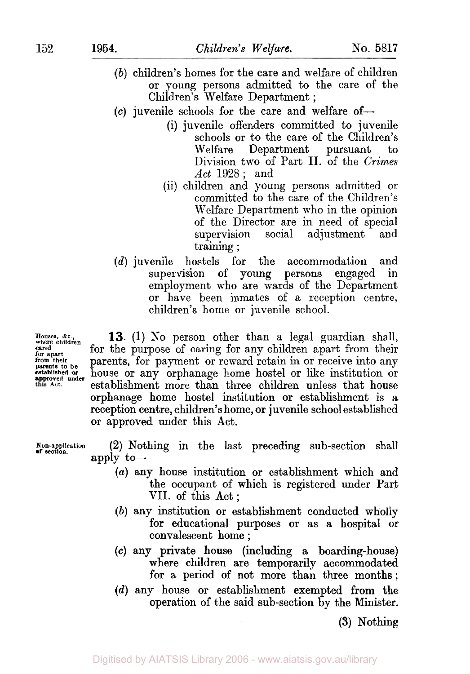- *(b)* children's homes for the care and welfare of children or young persons admitted to the care of the Children's Welfare Department ;
- $(c)$  juvenile schools for the care and welfare of-
	- (i) juvenile offenders committed to juvenile schools or to the care of the Children's Department pursuant Division two of Part II. of the *Crimes Act* 1928; and
	- (ii) children and young persons admitted or committed to the care of the Children's Welfare Department who in the opinion of the Director are in need of special adjustment training ;
- *(d)* juvenile hostels for the accommodation and supervision of young persons engaged in employment who are wards of the Department or have been inmates of a reception centre, children's home or juvenile school.

Houses, &c.,<br>where children<br>cared **cared for apart from their established or parents to be a proved under** 

**13.** (1) No person other than a legal guardian shall, for the purpose of caring for any children apart from their parents, for payment or reward retain in or receive into any house or any orphanage home hostel or like institution or **Act.** establishment more than three children unless that house orphanage home hostel institution or establishment is a reception centre, children's home, **or** juvenile school established **or** approved under this Act.

**of section.** 

(2) Nothing in the last preceding sub-section shall apply to-

- *(a)* any house institution or establishment which and the occupant of which is registered under Part VII. of this Act ;
- *(b)* any institution or establishment conducted wholly for educational purposes **or** as a hospital or convalescent home ;
- *(c)* any private house (including **a** boarding-house) where children are temporarily accommodated for a period of not more than three months;
- *(d)* any house or establishment exempted from the operation of the said sub-section by the Minister.

**(3)** Nothing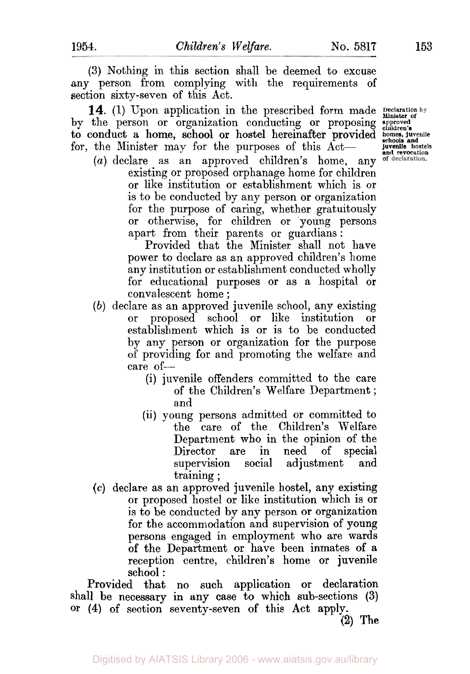**(3)** Nothing in this section shall be deemed to excuse any person from complying with the requirements of section sixty-seven of this Act.

by the person or organization conducting or proposing *approved children's*  for, the Minister may for the purposes of this Act-14. (1) Upon application in the prescribed form made Declaration by to conduct a home, school or hostel hereinafter provided homes, **juvenile** 

(a) declare as an approved children's home, any <sup>of declaration</sup>. existing or proposed orphanage home for children or like institution or establishment which is or is to be conducted by any person or organization for the purpose of caring, whether gratuitously or otherwise, for children or young persons apart from their parents or guardians :

Provided that the Minister shall not have power to declare as an approved children's home any institution or establishment conducted wholly for educational purposes or as a hospital or convalescent home ;

- *(b)* declare as an approved juvenile school, any existing or proposed school or like institution or establishment which is or is to be conducted by any person or organization for the purpose of providing for and promoting the welfare and care of-
	- (i) juvenile offenders committed to the care of the Children's Welfare Department ; and
	- (ii) young persons admitted or committed to the care of the Children's Welfare Department who in the opinion of the Director are in need of special supervision social adjustment and training ;
- *(c)* declare as an approved juvenile hostel, any existing or proposed hostel or like institution which is **or**  is to be conducted by any person or organization for the accommodation and supervision of young persons engaged in employment who are wards of the Department or have been inmates **of a**  reception centre, children's home or juvenile school :

Provided that no such application **or** declaration shall be necessary in any case to which sub-sections **(3) or (4)** of section seventy-seven of this Act apply. **(2) The**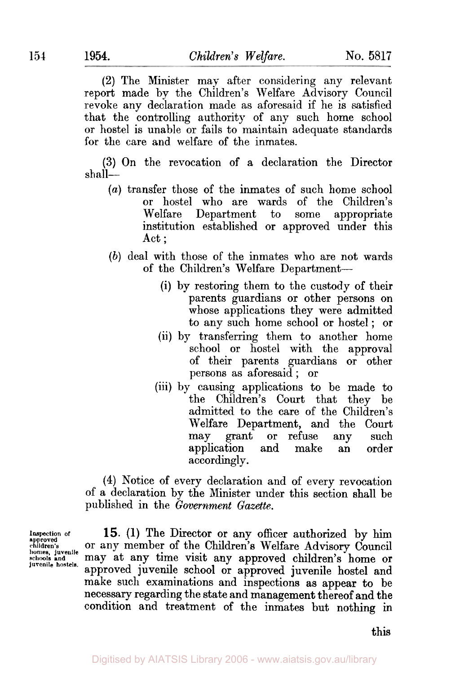**(2)** The Minister may after considering any relevant report made by the Children's Welfare Advisory Council revoke any declaration made as aforesaid if he is satisfied that the controlling authority of any such home school or hostel is unable or fails to maintain adequate standards for the care and welfare of the inmates.

**(3)** On the revocation of a declaration the Director shall-

- *(a)* transfer those of the inmates of such home school or hostel who are wards of the Children's Welfare Department to some appropriate institution established or approved under this Act ;
- *(b)* deal with those of the inmates who are not wards of the Children's Welfare Department-
	- (i) by restoring them to the custody of their parents guardians or other persons on whose applications they were admitted to any such home school or hostel ; or
	- (ii) by transferring them to another home school or hostel with the approval of their parents guardians or other persons as aforesaid ; or
	- (iii) by causing applications to be made to the Children's Court that they be admitted to the care of the Children's Welfare Department, and the Court may grant or refuse any such application and make an order accordingly.

**(4)** Notice of every declaration and of every revocation of a declaration by the Minister under this section shall be published in the *Government Gazette.* 

**Inspection or approved Chlldren's homes, juvenile schools and juvenile hostels.** 

**15. (1)** The Director or any officer authorized by **him**  or any member of the Children's Welfare Advisory Council **may** at **any** time visit any approved children's home or approved juvenile school or approved juvenile hostel and make such examinations and inspections **as** appear to be necessary regarding the state and management thereof **and** the condition and treatment of the inmates but nothing in

this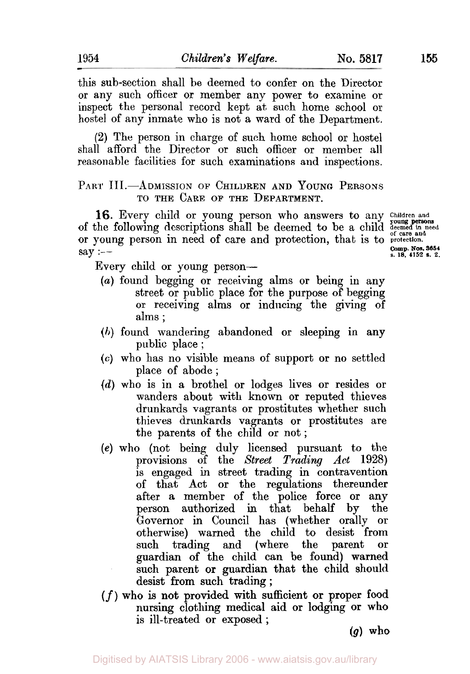this sub-section shall be deemed to confer on the Director or any such officer or member any power to examine or inspect the personal record kept at such home school or hostel of any inmate who is not a ward of the Department.

**(2)** The person in charge of such home school or hostel shall afford the Director or such officer or member all reasonable facilities for such examinations and inspections.

## PART III.-ADMISSION OF CHILDREN AND YOUNG PERSONS TO THE CARE OF THE DEPARTMENT.

**16.** Every child or young person who answers to any *Children and young persons*  of the following descriptions shall be deemed to be a child deemed of care and or young person in need of care and protection, that is to **protection.**<br>
say :---<br> **SAY** :--<br> **COMP. Nos. 36544**<br> **COMP. Nos. 36544** 

**s. 18. 4152 s. 2.** 

Every child or young person-

- *(a)* found begging or receiving alms or being in any street or public place for the purpose of begging or receiving alms or inducing the giving of alms ;
- *(h)* found wandering abandoned or sleeping in any public place ;
- **(c)** who has no visible means of support **or** no settled place of abode;
- *(d)* who is in a brothel or lodges lives or resides or wanders about with known or reputed thieves drunkards vagrants or prostitutes whether such thieves drunkards vagrants or prostitutes are the parents of the child or not;
- *(e)* who (not being duly licensed pursuant to the provisions of the *Street Trading Act* 1928) is engaged in street trading in contravention of that Act or the regulations thereunder after a member of the police force or any<br>nerson authorized in that behalf by the person authorized in that behalf by Governor in Council has (whether orally or otherwise) warned the child to desist from such trading and (where the parent **or**  guardian of the child can be found) warned such parent **or** guardian that the child should desist from such trading;
- *(f)* who is **not** provided with sufficient **or** proper food nursing clothing medical aid or lodging or who is ill-treated or exposed ;

*(g)* **who**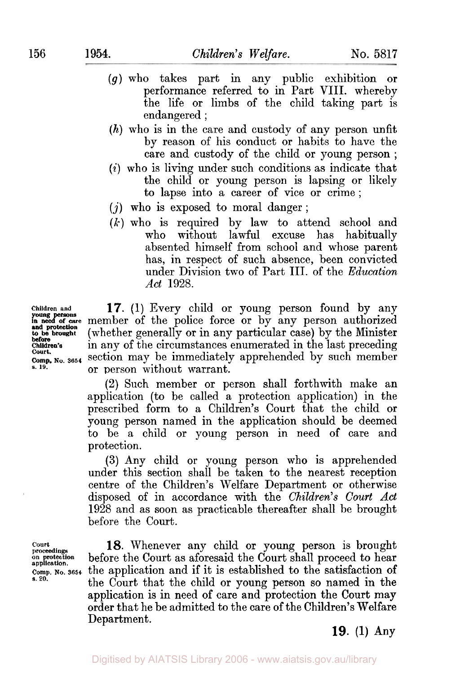- *(g)* who takes part in any public exhibition or performance referred to in Part VIII. whereby
	- the life or limbs of the child taking part is endangered ;
	- *(h)* who is in the care and custody of any person unfit by reason of his conduct or habits to have the care and custody of the child or young person ;
	- *(i)* who is living under such conditions as indicate that the child or young person is lapsing or likely to lapse into a career of vice or crime ;
	- $(i)$  who is exposed to moral danger;
	- **(k)** who is required by law to attend school and who without lawful excuse has habitually absented himself from school and whose parent has, in respect of such absence, been convicted under Division two of Part III. of the *Education Act* 1928.

**Children and 17.** (1) Every child or young person found by any member of the police force or by any person authorized (whether generally or in any particular case) by the Minister in any of the circumstances enumerated in the last preceding Court. Con No. 3654 Section may be immediately apprehended by such member **S. 19.** or person without warrant. **young persons** 

> (2) Such member or person shall forthwith make an application (to be called a protection application) in the prescribed form to a Children's Court that the child or young person named in the application should be deemed to be a child or young person in need of care and protection.

> **(3)** Any child or young person who is apprehended under this section shall be taken to the nearest reception centre of the Children's Welfare Department or otherwise disposed of in accordance with the *Children's Court Act*  1928 and as soon as practicable thereafter shall be brought before the Court.

**Court proceedings on protection application. Comp. No. 365 s.** *20.* 

and protection<br>to be brought<br>before **before Court.** 

> **18.** Whenever any child or young person is brought before the Court as aforesaid the Court shall proceed to hear **<sup>4</sup>**the application and if it is established to the satisfaction **of**  the Court that the child or young person so named in the application is in need of care and protection the Court may order that he be admitted to the care of the Children's Welfare Department. **19.** (1) Any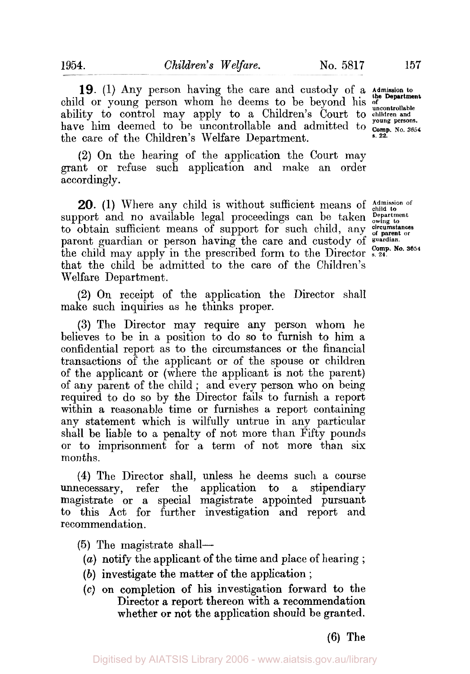**19.** (1) Any person having the care and custody of a **Admission to** child or young person whom he deems to be beyond his  $\frac{6}{u}$  uncontrollable ability to control may apply to a Children's Court to children and have him deemed to be uncontrollable and admitted to comp. No. 3654 the care **of** the Children's Welfare Department.

**(2)** On the hearing of the application the Court may grant or refuse such application and make an order accordingly.

20. (1) Where any child is without sufficient means of *Admission of* support and no available legal proceedings can be taken *Department owing to*  to obtain sufficient means of support for such child, any **of or**  parent guardian or person having the care and custody of **guardian.**  the child may apply in the prescribed form to the Director  $\frac{Comp. No. 3654}{s. 24}$ that the child be admitted to the care of the Children's Welfare Department.

(2) On receipt of the application the Director shall make such inquiries as he thinks proper.

**(3)** The Director may require any person whom he believes to be in a position to do so to furnish to him a confidential report as to the circumstances or the financial transactions of the applicant or of the spouse or children of the applicant or (where the applicant is not the parent) of any parent of the child ; and every person who on being required to do so by the Director fails to furnish a report within a reasonable time or furnishes a report containing any statement which is wilfully untrue in any particular shall be liable to a penalty of not more than Fifty pounds or to imprisonment for a term of not more than six months.

**(4)** The Director shall, unless he deems such a course  $un necessary, refer the$ magistrate or a special magistrate appointed pursuant to this Act for further investigation and report and recommendation.

 $(5)$  The magistrate shall—

- *(a)* notify the applicant of the time and place of hearing ;
- *(b)* investigate the matter of the application ;
- *(c)* on completion of his investigation forward to the Director a report thereon with a recommendation whether **or** not the application should be granted.

**s. 22.** 

**circumstances**